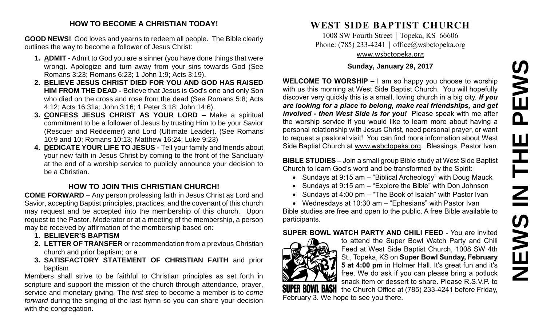# **NEWS IN THE PEWS**PEWS HH<br>N<br>N NEWS

#### **HOW TO BECOME A CHRISTIAN TODAY!**

**GOOD NEWS!** God loves and yearns to redeem all people. The Bible clearly outlines the way to become a follower of Jesus Christ:

- **1. ADMIT** Admit to God you are a sinner (you have done things that were wrong). Apologize and turn away from your sins towards God (See Romans 3:23; Romans 6:23; 1 John 1:9; Acts 3:19).
- **2. BELIEVE JESUS CHRIST DIED FOR YOU AND GOD HAS RAISED HIM FROM THE DEAD -** Believe that Jesus is God's one and only Son who died on the cross and rose from the dead (See Romans 5:8; Acts 4:12; Acts 16:31a; John 3:16; 1 Peter 3:18; John 14:6).
- **3. CONFESS JESUS CHRIST AS YOUR LORD –** Make a spiritual commitment to be a follower of Jesus by trusting Him to be your Savior (Rescuer and Redeemer) and Lord (Ultimate Leader). (See Romans 10:9 and 10; Romans 10:13; Matthew 16:24; Luke 9:23)
- **4. DEDICATE YOUR LIFE TO JESUS -** Tell your family and friends about your new faith in Jesus Christ by coming to the front of the Sanctuary at the end of a worship service to publicly announce your decision to be a Christian.

#### **HOW TO JOIN THIS CHRISTIAN CHURCH!**

**COME FORWARD** – Any person professing faith in Jesus Christ as Lord and Savior, accepting Baptist principles, practices, and the covenant of this church may request and be accepted into the membership of this church. Upon request to the Pastor, Moderator or at a meeting of the membership, a person may be received by affirmation of the membership based on:

- **1. BELIEVER'S BAPTISM**
- **2. LETTER OF TRANSFER** or recommendation from a previous Christian church and prior baptism; or a
- **3. SATISFACTORY STATEMENT OF CHRISTIAN FAITH** and prior baptism

Members shall strive to be faithful to Christian principles as set forth in scripture and support the mission of the church through attendance, prayer, service and monetary giving. The *first step* to become a member is to *come forward* during the singing of the last hymn so you can share your decision with the congregation.

### **WEST SIDE BAPTIST CHURCH**

1008 SW Fourth Street | Topeka, KS 66606 Phone: (785) 233-4241 │ [office@wsbctopeka.org](mailto:office@wsbctopeka.org) [www.wsbctopeka.org](http://www.wsbctopeka.org/)

#### **Sunday, January 29, 2017**

**WELCOME TO WORSHIP –** I am so happy you choose to worship with us this morning at West Side Baptist Church. You will hopefully discover very quickly this is a small, loving church in a big city. *If you are looking for a place to belong, make real friendships, and get involved - then West Side is for you!* Please speak with me after the worship service if you would like to learn more about having a personal relationship with Jesus Christ, need personal prayer, or want to request a pastoral visit! You can find more information about West Side Baptist Church at [www.wsbctopeka.org.](http://www.wsbctopeka.org/) Blessings, Pastor Ivan

**BIBLE STUDIES –** Join a small group Bible study at West Side Baptist Church to learn God's word and be transformed by the Spirit:

- Sundays at 9:15 am "Biblical Archeology" with Doug Mauck
- Sundays at 9:15 am "Explore the Bible" with Don Johnson
- Sundays at 4:00 pm "The Book of Isaiah" with Pastor Ivan

 Wednesdays at 10:30 am – "Ephesians" with Pastor Ivan Bible studies are free and open to the public. A free Bible available to participants.

#### **SUPER BOWL WATCH PARTY AND CHILI FEED** - You are invited



to attend the Super Bowl Watch Party and Chili Feed at West Side Baptist Church, 1008 SW 4th St., Topeka, KS on **Super Bowl Sunday, February 5 at 4:00 pm** in Holmer Hall. It's great fun and it's free. We do ask if you can please bring a potluck snack item or dessert to share. Please R.S.V.P. to the Church Office at (785) 233-4241 before Friday,

February 3. We hope to see you there.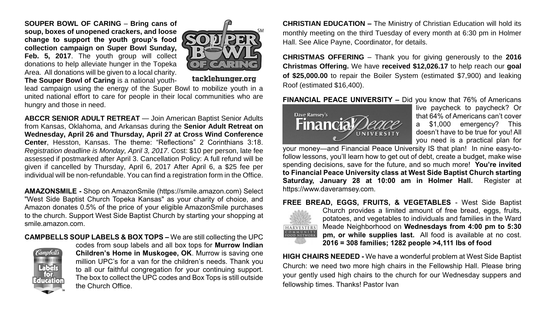**SOUPER BOWL OF CARING** – **Bring cans of soup, boxes of unopened crackers, and loose change to support the youth group's food collection campaign on Super Bowl Sunday,**  Feb. 5, 2017. The youth group will collect donations to help alleviate hunger in the Topeka Area. All donations will be given to a local charity.



**The Souper Bowl of Caring** is a national youth-

tacklehunger.org

lead campaign using the energy of the Super Bowl to mobilize youth in a united national effort to care for people in their local communities who are hungry and those in need.

**ABCCR SENIOR ADULT RETREAT** — Join American Baptist Senior Adults from Kansas, Oklahoma, and Arkansas during the **Senior Adult Retreat on Wednesday, April 26 and Thursday, April 27 at Cross Wind Conference Center**, Hesston, Kansas. The theme: "Reflections" 2 Corinthians 3:18. *Registration deadline is Monday, April 3, 2017*. Cost: \$10 per person, late fee assessed if postmarked after April 3. Cancellation Policy: A full refund will be given if cancelled by Thursday, April 6, 2017 After April 6, a \$25 fee per individual will be non-refundable. You can find a registration form in the Office.

**AMAZONSMILE -** Shop on AmazonSmile (https://smile.amazon.com) Select "West Side Baptist Church Topeka Kansas" as your charity of choice, and Amazon donates 0.5% of the price of your eligible AmazonSmile purchases to the church. Support West Side Baptist Church by starting your shopping at smile.amazon.com.

**CAMPBELLS SOUP LABELS & BOX TOPS –** We are still collecting the UPC



codes from soup labels and all box tops for **Murrow Indian Children's Home in Muskogee, OK**. Murrow is saving one million UPC's for a van for the children's needs. Thank you to all our faithful congregation for your continuing support. The box to collect the UPC codes and Box Tops is still outside the Church Office.

**CHRISTIAN EDUCATION –** The Ministry of Christian Education will hold its monthly meeting on the third Tuesday of every month at 6:30 pm in Holmer Hall. See Alice Payne, Coordinator, for details.

**CHRISTMAS OFFERING** – Thank you for giving generously to the **2016 Christmas Offering.** We have **received \$12,026.17** to help reach our **goal of \$25,000.00** to repair the Boiler System (estimated \$7,900) and leaking Roof (estimated \$16,400).

**FINANCIAL PEACE UNIVERSITY –** Did you know that 76% of Americans



live paycheck to paycheck? Or that 64% of Americans can't cover a \$1,000 emergency? This doesn't have to be true for you! All you need is a practical plan for

your money—and Financial Peace University IS that plan! In nine easy-tofollow lessons, you'll learn how to get out of debt, create a budget, make wise spending decisions, save for the future, and so much more! **You're invited to Financial Peace University class at West Side Baptist Church starting Saturday, January 28 at 10:00 am in Holmer Hall.** Register at https://www.daveramsey.com.

#### **FREE BREAD, EGGS, FRUITS, & VEGETABLES** - West Side Baptist



Church provides a limited amount of free bread, eggs, fruits, potatoes, and vegetables to individuals and families in the Ward Meade Neighborhood on **Wednesdays from 4:00 pm to 5:30 pm, or while supplies last.** All food is available at no cost. **2016 = 308 families; 1282 people >4,111 lbs of food**

**HIGH CHAIRS NEEDED -** We have a wonderful problem at West Side Baptist Church: we need two more high chairs in the Fellowship Hall. Please bring your gently used high chairs to the church for our Wednesday suppers and fellowship times. Thanks! Pastor Ivan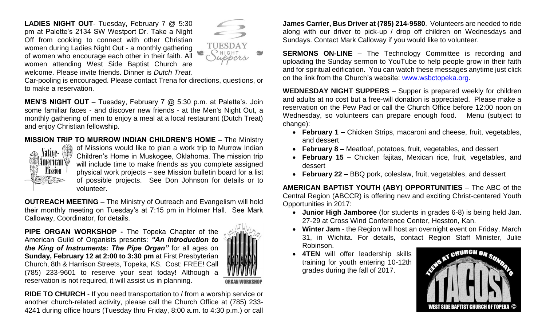**LADIES NIGHT OUT**- Tuesday, February 7 @ 5:30 pm at Palette's 2134 SW Westport Dr. Take a Night Off from cooking to connect with other Christian women during Ladies Night Out - a monthly gathering of women who encourage each other in their faith. All women attending West Side Baptist Church are welcome. Please invite friends. Dinner is *Dutch Treat.*



Car-pooling is encouraged. Please contact Trena for directions, questions, or to make a reservation.

**MEN'S NIGHT OUT** – Tuesday, February 7 @ 5:30 p.m. at Palette's. Join some familiar faces - and discover new friends - at the Men's Night Out, a monthly gathering of men to enjoy a meal at a local restaurant (Dutch Treat) and enjoy Christian fellowship.

#### **MISSION TRIP TO MURROW INDIAN CHILDREN'S HOME** – The Ministry



of Missions would like to plan a work trip to Murrow Indian Children's Home in Muskogee, Oklahoma. The mission trip will include time to make friends as you complete assigned physical work projects – see Mission bulletin board for a list of possible projects. See Don Johnson for details or to volunteer.

**OUTREACH MEETING** – The Ministry of Outreach and Evangelism will hold their monthly meeting on Tuesday's at 7:15 pm in Holmer Hall. See Mark Calloway, Coordinator, for details.

**PIPE ORGAN WORKSHOP -** The Topeka Chapter of the American Guild of Organists presents: *"An Introduction to the King of Instruments: The Pipe Organ"* for all ages on **Sunday, February 12 at 2:00 to 3:30 pm** at First Presbyterian Church, 8th & Harrison Streets, Topeka, KS. Cost: FREE! Call (785) 233-9601 to reserve your seat today! Although a reservation is not required, it will assist us in planning.



**RIDE TO CHURCH** - If you need transportation to / from a worship service or another church-related activity, please call the Church Office at (785) 233- 4241 during office hours (Tuesday thru Friday, 8:00 a.m. to 4:30 p.m.) or call

**James Carrier, Bus Driver at (785) 214-9580**. Volunteers are needed to ride along with our driver to pick-up / drop off children on Wednesdays and Sundays. Contact Mark Calloway if you would like to volunteer.

**SERMONS ON-LINE** – The Technology Committee is recording and uploading the Sunday sermon to YouTube to help people grow in their faith and for spiritual edification. You can watch these messages anytime just click on the link from the Church's website: [www.wsbctopeka.org.](http://www.wsbctopeka.org/)

**WEDNESDAY NIGHT SUPPERS** – Supper is prepared weekly for children and adults at no cost but a free-will donation is appreciated. Please make a reservation on the Pew Pad or call the Church Office before 12:00 noon on Wednesday, so volunteers can prepare enough food. Menu (subject to change):

- **February 1 –** Chicken Strips, macaroni and cheese, fruit, vegetables, and dessert
- **February 8 –** Meatloaf, potatoes, fruit, vegetables, and dessert
- **February 15 –** Chicken fajitas, Mexican rice, fruit, vegetables, and dessert
- **February 22 –** BBQ pork, coleslaw, fruit, vegetables, and dessert

**AMERICAN BAPTIST YOUTH (ABY) OPPORTUNITIES** – The ABC of the Central Region (ABCCR) is offering new and exciting Christ-centered Youth Opportunities in 2017:

- **Junior High Jamboree** (for students in grades 6-8) is being held Jan. 27-29 at Cross Wind Conference Center, Hesston, Kan.
- **Winter Jam** the Region will host an overnight event on Friday, March 31, in Wichita. For details, contact Region Staff Minister, Julie Robinson.
- **4TEN** will offer leadership skills training for youth entering 10-12th grades during the fall of 2017.